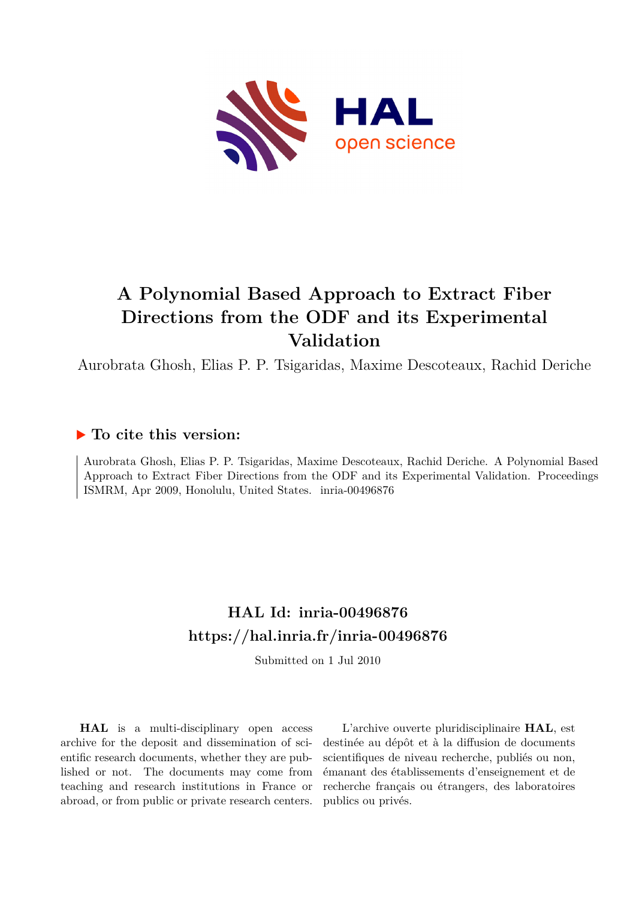

# **A Polynomial Based Approach to Extract Fiber Directions from the ODF and its Experimental Validation**

Aurobrata Ghosh, Elias P. P. Tsigaridas, Maxime Descoteaux, Rachid Deriche

### **To cite this version:**

Aurobrata Ghosh, Elias P. P. Tsigaridas, Maxime Descoteaux, Rachid Deriche. A Polynomial Based Approach to Extract Fiber Directions from the ODF and its Experimental Validation. Proceedings ISMRM, Apr 2009, Honolulu, United States. inria-00496876

## **HAL Id: inria-00496876 <https://hal.inria.fr/inria-00496876>**

Submitted on 1 Jul 2010

**HAL** is a multi-disciplinary open access archive for the deposit and dissemination of scientific research documents, whether they are published or not. The documents may come from teaching and research institutions in France or abroad, or from public or private research centers.

L'archive ouverte pluridisciplinaire **HAL**, est destinée au dépôt et à la diffusion de documents scientifiques de niveau recherche, publiés ou non, émanant des établissements d'enseignement et de recherche français ou étrangers, des laboratoires publics ou privés.